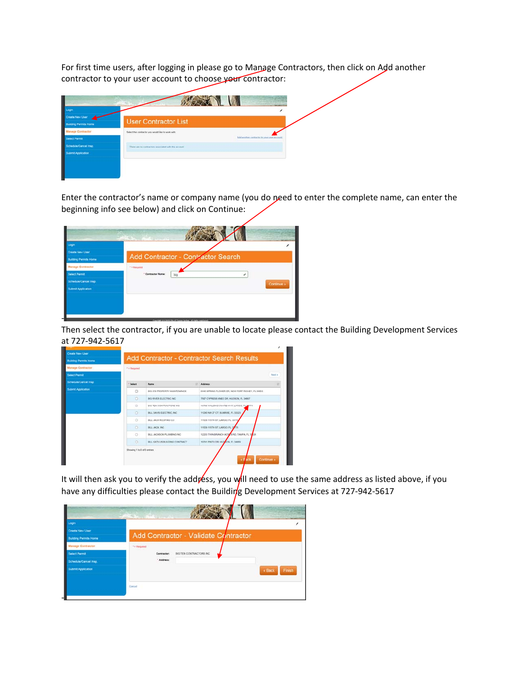For first time users, after logging in please go to Manage Contractors, then click on Add another contractor to your user account to choose your contractor:

| Logiz                        |                                                         |                                                |
|------------------------------|---------------------------------------------------------|------------------------------------------------|
| Create New User              | <b>User Contractor List</b>                             |                                                |
| <b>Building Permits Home</b> |                                                         |                                                |
| <b>Manage Contractor</b>     | Select the contractor you would like to work with       |                                                |
| <b>Select Permit</b>         |                                                         | Ald another circle/siche to your user account. |
| Schedule/Cancel Insp.        | There are no contractors associated with this accessor. |                                                |
| Submit Application           |                                                         |                                                |

Enter the contractor's name or company name (you do need to enter the complete name, can enter the beginning info see below) and click on Continue:

| Add Contractor - Contractor Search<br>Manage Contractor<br>* = Required<br>* Contractor Name:<br>big<br>Continue » | Create New User              |  |
|--------------------------------------------------------------------------------------------------------------------|------------------------------|--|
|                                                                                                                    | <b>Building Permits Home</b> |  |
|                                                                                                                    |                              |  |
|                                                                                                                    |                              |  |
|                                                                                                                    | <b>Select Permit</b>         |  |
|                                                                                                                    | Schedule/Cancel Insp.        |  |
|                                                                                                                    | Submit Application           |  |

Then select the contractor, if you are unable to locate please contact the Building Development Services at 727‐942‐5617

| <b>Manage Contractor</b>  | * a flequent                |                                |                                                   |                |
|---------------------------|-----------------------------|--------------------------------|---------------------------------------------------|----------------|
| <b>Select Permit</b>      |                             |                                |                                                   | <b>Tarsi's</b> |
|                           |                             |                                |                                                   |                |
| Schedule/Cancel Insp.     | <b>Select</b>               | <b>Name</b>                    | <b>Address</b>                                    | 11             |
| <b>Submit Application</b> | $\circ$                     | BIG OS PROPERTY MAINTENANCE    | 5440 SPRING FLOWER DR. NEW PORT RICHEY, FL 34553. |                |
|                           | $\circ$                     | BIG RIVER ELECTRIC INC.        | 7507 CYPRESS KNEE DR. HUDSON, FL 34667.           |                |
|                           | $\circ$                     | BIG TEN CONTRACTORS INC.       | 13735 WALSINGHAM RD #147, LARGO, FL 33774         |                |
|                           | ö                           | BILL DAVIS ELECTRIC, INC.      | 11240 NW 27 CT, SUNRISE, FL 33323                 |                |
|                           | $\circ$                     | BILL JACK ROOFING CO.          | 11529 115TH ST. LARGO, FL 337TH                   |                |
|                           | $\circ$                     | BILL JACK INC.                 | 11529 115TH ST, LARGO, FL 32 78                   |                |
|                           | $\circ$                     | BILL JACKSON PLUMBING INC.     | 12203 TWIN BRANCH ACROS RD. TAMPA, FL 33 26       |                |
|                           | o                           | BILL KATILUS BUILDING CONTRACT | 10741 PINTO DR. HUDSON, FL 34009                  |                |
|                           | Showing 1 to 8 of 8 entries |                                | $\cdot$ B ack                                     | Continue »     |

It will then ask you to verify the address, you will need to use the same address as listed above, if you have any difficulties please contact the Buildirg Development Services at 727-942-5617

| Login                        |                         |                                      |                         |
|------------------------------|-------------------------|--------------------------------------|-------------------------|
| Create New User              |                         | Add Contractor - Validate Contractor |                         |
| <b>Building Permits Home</b> |                         |                                      |                         |
| <b>Manage Contractor</b>     | <sup>1</sup> = Required |                                      |                         |
| <b>Select Permit</b>         | Contractor:             | BIG TEN CONTRACTORS INC.             |                         |
| Schedule/Cancel Insp.        | "Address:               |                                      |                         |
| <b>Submit Application</b>    |                         |                                      | $\kappa$ Back<br>Finish |
|                              |                         |                                      |                         |
|                              | Cancel                  |                                      |                         |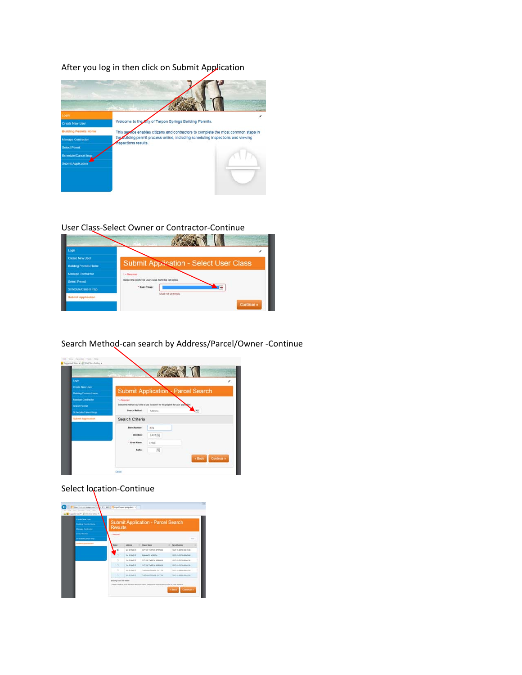After you log in then click on Submit Application



## User Class‐Select Owner or Contractor‐Continue



## Search Method‐can search by Address/Parcel/Owner ‐Continue



## Select location-Continue

| <b>Column New User</b><br><b>Busing Fornitz Hame</b><br><b>Manage Contractor</b> | Submit Application - Parcel Search<br><b>Results</b> |                       |                                                                                                                     |        |                             |          |  |  |
|----------------------------------------------------------------------------------|------------------------------------------------------|-----------------------|---------------------------------------------------------------------------------------------------------------------|--------|-----------------------------|----------|--|--|
| <b>Senat Forms</b><br>Schedule/Career Imag                                       | <b>TA Research</b>                                   |                       |                                                                                                                     |        |                             | first L. |  |  |
| <b>National Application</b>                                                      | <b>Ballace II</b>                                    | Attessa               | <b>IT I hang hang</b>                                                                                               | $\sim$ | <b>Partei Number</b>        | ×        |  |  |
|                                                                                  |                                                      | 124 E PAG IT          | CITY OF TARPON SPRAGE                                                                                               |        | 10 EF-HLAPPIN-MIN-2100      |          |  |  |
|                                                                                  |                                                      | <b>SHEPHERE</b>       | <b>RHAMOS, JOBEPH</b>                                                                                               |        | 10:01:15:0090-0040          |          |  |  |
|                                                                                  | ö                                                    | Shi E PAG ST          | LITY OF TARRON SPRAGE                                                                                               |        | 10-21-16 20705-005-018      |          |  |  |
|                                                                                  | 1.CH                                                 | <b>Sta E Prod: ST</b> | TOTY OF TARPON SPRAGE                                                                                               |        | 10-25-to-20700-000-0100     |          |  |  |
|                                                                                  | $\sim$<br>×                                          | 33 & PAIL 17          | TARPON RPRACH TITY OF                                                                                               |        | 10:21 / 6:2000-00-2120      |          |  |  |
|                                                                                  | -                                                    | <b>331 E PRIZ 2T</b>  | TARPON BPRINDE, CITY OF                                                                                             |        | lo 21-is 2006 list-inte     |          |  |  |
|                                                                                  | Statement 1 to 4 of 6 extrem-                        |                       | * Charles is already at online auditority wanted the manner. Please normal the number of the first further payments |        | Continue »<br><b>v</b> Bath |          |  |  |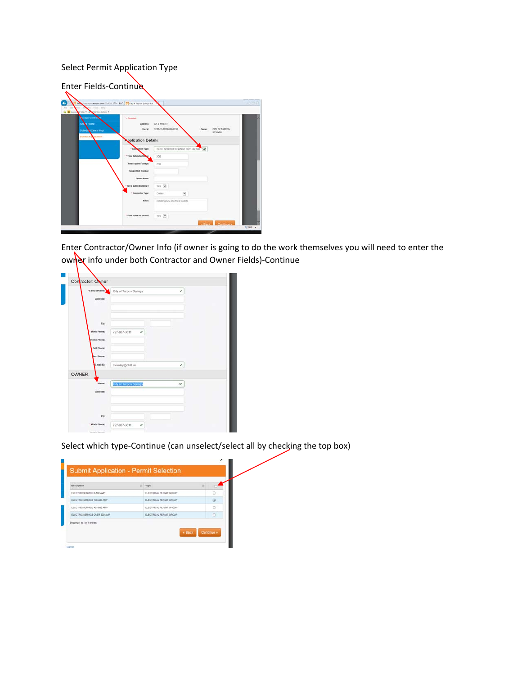## Select Permit Application Type

Enter Fields-Continue



Enter Contractor/Owner Info (if owner is going to do the work themselves you will need to enter the owner info under both Contractor and Owner Fields)-Continue

| * Contact Name:    | City of Tarpon Springs<br>v        |
|--------------------|------------------------------------|
| Address:           |                                    |
| Zip:               |                                    |
| "Work Phone:       | 727-937-3811<br>٠                  |
| Home Phone:        |                                    |
| Cell Phone:        |                                    |
| <b>lisc Phone:</b> |                                    |
| E-mail ID:         | ckowloy@ctsfl.us<br>٠              |
| OWNER              |                                    |
| Name:              | City of Tarpon Springs<br>$\times$ |
| Address:           |                                    |
|                    |                                    |
|                    |                                    |
|                    |                                    |

Select which type-Continue (can unselect/select all by checking the top box)

| Description                    | $T$ Type                | Ħ |                     |
|--------------------------------|-------------------------|---|---------------------|
| ELECTRIC SERVICE 0-100 AMP     | ELECTRICAL PERMIT GROUP |   | o                   |
| ELECTRIC SERVICE 100-400 AMP   | ELECTRICAL PERMIT GROUP |   | $\overline{\omega}$ |
| ELECTRIC SERVICE 401-800 AMP   | ELECTRICAL PERMIT GROUP |   | $\Box$              |
| ELECTRIC SERVICE CIVER 800 AMP | ELECTRICAL PERMIT GROUP |   | O                   |